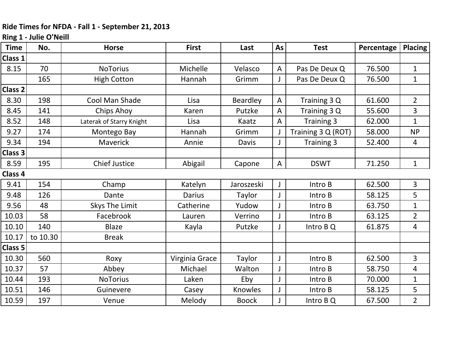## **Ride Times for NFDA ‐ Fall 1 ‐ September 21, 2013**

## **Ring 1 ‐ Julie O'Neill**

| <b>Time</b> | No.      | <b>Horse</b>             | <b>First</b>   | Last            | As           | <b>Test</b>        | Percentage | <b>Placing</b> |
|-------------|----------|--------------------------|----------------|-----------------|--------------|--------------------|------------|----------------|
| Class 1     |          |                          |                |                 |              |                    |            |                |
| 8.15        | 70       | <b>NoTorius</b>          | Michelle       | Velasco         | A            | Pas De Deux Q      | 76.500     | $\mathbf 1$    |
|             | 165      | <b>High Cotton</b>       | Hannah         | Grimm           |              | Pas De Deux Q      | 76.500     | $\mathbf 1$    |
| Class 2     |          |                          |                |                 |              |                    |            |                |
| 8.30        | 198      | Cool Man Shade           | Lisa           | <b>Beardley</b> | $\mathsf{A}$ | Training 3 Q       | 61.600     | $\overline{2}$ |
| 8.45        | 141      | <b>Chips Ahoy</b>        | Karen          | Putzke          | A            | Training 3 Q       | 55.600     | 3              |
| 8.52        | 148      | Laterak of Starry Knight | Lisa           | Kaatz           | A            | Training 3         | 62.000     | $\mathbf{1}$   |
| 9.27        | 174      | Montego Bay              | Hannah         | Grimm           | J            | Training 3 Q (ROT) | 58.000     | <b>NP</b>      |
| 9.34        | 194      | <b>Maverick</b>          | Annie          | <b>Davis</b>    | J            | Training 3         | 52.400     | 4              |
| Class 3     |          |                          |                |                 |              |                    |            |                |
| 8.59        | 195      | <b>Chief Justice</b>     | Abigail        | Capone          | A            | <b>DSWT</b>        | 71.250     | $\mathbf 1$    |
| Class 4     |          |                          |                |                 |              |                    |            |                |
| 9.41        | 154      | Champ                    | Katelyn        | Jaroszeski      | J            | Intro B            | 62.500     | 3              |
| 9.48        | 126      | Dante                    | <b>Darius</b>  | Taylor          | J            | Intro B            | 58.125     | 5              |
| 9.56        | 48       | Skys The Limit           | Catherine      | Yudow           |              | Intro B            | 63.750     | 1              |
| 10.03       | 58       | Facebrook                | Lauren         | Verrino         |              | Intro B            | 63.125     | $\overline{2}$ |
| 10.10       | 140      | <b>Blaze</b>             | Kayla          | Putzke          |              | Intro B Q          | 61.875     | 4              |
| 10.17       | to 10.30 | <b>Break</b>             |                |                 |              |                    |            |                |
| Class 5     |          |                          |                |                 |              |                    |            |                |
| 10.30       | 560      | Roxy                     | Virginia Grace | Taylor          |              | Intro B            | 62.500     | $\overline{3}$ |
| 10.37       | 57       | Abbey                    | Michael        | Walton          |              | Intro B            | 58.750     | 4              |
| 10.44       | 193      | <b>NoTorius</b>          | Laken          | Eby             |              | Intro B            | 70.000     | $\mathbf 1$    |
| 10.51       | 146      | Guinevere                | Casey          | Knowles         |              | Intro B            | 58.125     | 5              |
| 10.59       | 197      | Venue                    | Melody         | <b>Boock</b>    |              | Intro B Q          | 67.500     | $\overline{2}$ |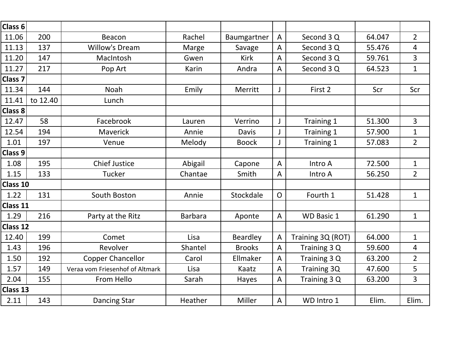| Class 6            |          |                                 |                |                 |                |                   |        |                |
|--------------------|----------|---------------------------------|----------------|-----------------|----------------|-------------------|--------|----------------|
| 11.06              | 200      | Beacon                          | Rachel         | Baumgartner     | $\overline{A}$ | Second 3 Q        | 64.047 | $\overline{2}$ |
| 11.13              | 137      | <b>Willow's Dream</b>           | Marge          | Savage          | A              | Second 3 Q        | 55.476 | 4              |
| 11.20              | 147      | MacIntosh                       | Gwen           | <b>Kirk</b>     | A              | Second 3 Q        | 59.761 | 3              |
| 11.27              | 217      | Pop Art                         | Karin          | Andra           | A              | Second 3 Q        | 64.523 | $\mathbf{1}$   |
| Class <sub>7</sub> |          |                                 |                |                 |                |                   |        |                |
| 11.34              | 144      | Noah                            | Emily          | Merritt         | J              | First 2           | Scr    | Scr            |
| 11.41              | to 12.40 | Lunch                           |                |                 |                |                   |        |                |
| Class 8            |          |                                 |                |                 |                |                   |        |                |
| 12.47              | 58       | Facebrook                       | Lauren         | Verrino         | $\mathsf J$    | Training 1        | 51.300 | $\overline{3}$ |
| 12.54              | 194      | Maverick                        | Annie          | <b>Davis</b>    | J              | Training 1        | 57.900 | $\mathbf 1$    |
| 1.01               | 197      | Venue                           | Melody         | <b>Boock</b>    | $\mathsf J$    | Training 1        | 57.083 | $\overline{2}$ |
| Class 9            |          |                                 |                |                 |                |                   |        |                |
| 1.08               | 195      | <b>Chief Justice</b>            | Abigail        | Capone          | $\overline{A}$ | Intro A           | 72.500 | $\mathbf{1}$   |
| 1.15               | 133      | <b>Tucker</b>                   | Chantae        | Smith           | A              | Intro A           | 56.250 | $\overline{2}$ |
| Class 10           |          |                                 |                |                 |                |                   |        |                |
| 1.22               | 131      | South Boston                    | Annie          | Stockdale       | $\mathsf{O}$   | Fourth 1          | 51.428 | $\mathbf{1}$   |
| Class 11           |          |                                 |                |                 |                |                   |        |                |
| 1.29               | 216      | Party at the Ritz               | <b>Barbara</b> | Aponte          | A              | <b>WD Basic 1</b> | 61.290 | $\mathbf 1$    |
| Class 12           |          |                                 |                |                 |                |                   |        |                |
| 12.40              | 199      | Comet                           | Lisa           | <b>Beardley</b> | A              | Training 3Q (ROT) | 64.000 | $\mathbf 1$    |
| 1.43               | 196      | Revolver                        | Shantel        | <b>Brooks</b>   | $\overline{A}$ | Training 3 Q      | 59.600 | $\overline{4}$ |
| 1.50               | 192      | <b>Copper Chancellor</b>        | Carol          | Ellmaker        | $\mathsf{A}$   | Training 3 Q      | 63.200 | $\overline{2}$ |
| 1.57               | 149      | Veraa vom Friesenhof of Altmark | Lisa           | Kaatz           | $\mathsf{A}$   | Training 3Q       | 47.600 | 5              |
| 2.04               | 155      | From Hello                      | Sarah          | Hayes           | $\overline{A}$ | Training 3 Q      | 63.200 | 3              |
| Class 13           |          |                                 |                |                 |                |                   |        |                |
| 2.11               | 143      | <b>Dancing Star</b>             | Heather        | Miller          | $\overline{A}$ | WD Intro 1        | Elim.  | Elim.          |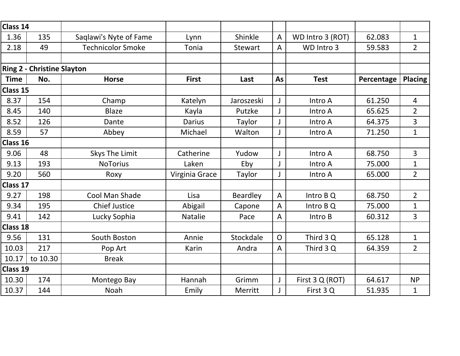| Class 14        |                                   |                          |                |            |                |                  |            |                |
|-----------------|-----------------------------------|--------------------------|----------------|------------|----------------|------------------|------------|----------------|
| 1.36            | 135                               | Saqlawi's Nyte of Fame   | Lynn           | Shinkle    | $\overline{A}$ | WD Intro 3 (ROT) | 62.083     | $\mathbf{1}$   |
| 2.18            | 49                                | <b>Technicolor Smoke</b> | Tonia          | Stewart    | $\overline{A}$ | WD Intro 3       | 59.583     | $\overline{2}$ |
|                 |                                   |                          |                |            |                |                  |            |                |
|                 | <b>Ring 2 - Christine Slayton</b> |                          |                |            |                |                  |            |                |
| <b>Time</b>     | No.                               | <b>Horse</b>             | <b>First</b>   | Last       | As             | <b>Test</b>      | Percentage | <b>Placing</b> |
| Class 15        |                                   |                          |                |            |                |                  |            |                |
| 8.37            | 154                               | Champ                    | Katelyn        | Jaroszeski | $\mathsf J$    | Intro A          | 61.250     | $\overline{4}$ |
| 8.45            | 140                               | <b>Blaze</b>             | Kayla          | Putzke     | $\mathsf{J}$   | Intro A          | 65.625     | $\overline{2}$ |
| 8.52            | 126                               | Dante                    | <b>Darius</b>  | Taylor     | $\mathsf{J}$   | Intro A          | 64.375     | 3              |
| 8.59            | 57                                | Abbey                    | Michael        | Walton     | J              | Intro A          | 71.250     | $\mathbf{1}$   |
| Class 16        |                                   |                          |                |            |                |                  |            |                |
| 9.06            | 48                                | Skys The Limit           | Catherine      | Yudow      | $\mathsf J$    | Intro A          | 68.750     | 3              |
| 9.13            | 193                               | <b>NoTorius</b>          | Laken          | Eby        | J              | Intro A          | 75.000     | $\mathbf 1$    |
| 9.20            | 560                               | Roxy                     | Virginia Grace | Taylor     | J              | Intro A          | 65.000     | $\overline{2}$ |
| Class 17        |                                   |                          |                |            |                |                  |            |                |
| 9.27            | 198                               | Cool Man Shade           | Lisa           | Beardley   | $\overline{A}$ | Intro B Q        | 68.750     | $\overline{2}$ |
| 9.34            | 195                               | <b>Chief Justice</b>     | Abigail        | Capone     | $\overline{A}$ | Intro B Q        | 75.000     | $\mathbf{1}$   |
| 9.41            | 142                               | Lucky Sophia             | <b>Natalie</b> | Pace       | A              | Intro B          | 60.312     | $\overline{3}$ |
| <b>Class 18</b> |                                   |                          |                |            |                |                  |            |                |
| 9.56            | 131                               | South Boston             | Annie          | Stockdale  | $\mathsf{O}$   | Third 3 Q        | 65.128     | $\mathbf{1}$   |
| 10.03           | 217                               | Pop Art                  | Karin          | Andra      | $\overline{A}$ | Third 3 Q        | 64.359     | $\overline{2}$ |
| 10.17           | to 10.30                          | <b>Break</b>             |                |            |                |                  |            |                |
| Class 19        |                                   |                          |                |            |                |                  |            |                |
| 10.30           | 174                               | Montego Bay              | Hannah         | Grimm      | $\mathsf J$    | First 3 Q (ROT)  | 64.617     | <b>NP</b>      |
| 10.37           | 144                               | Noah                     | Emily          | Merritt    |                | First 3 Q        | 51.935     | 1              |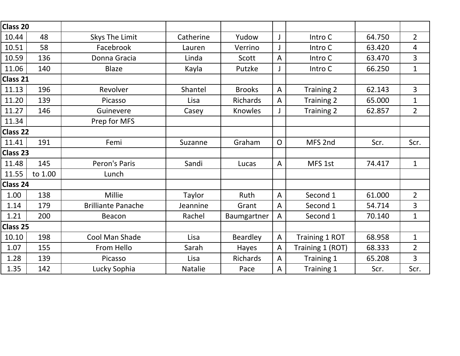| Class 20        |         |                           |           |               |                |                  |        |                |
|-----------------|---------|---------------------------|-----------|---------------|----------------|------------------|--------|----------------|
| 10.44           | 48      | Skys The Limit            | Catherine | Yudow         | $\mathsf J$    | Intro C          | 64.750 | $\overline{2}$ |
| 10.51           | 58      | Facebrook                 | Lauren    | Verrino       | J              | Intro C          | 63.420 | 4              |
| 10.59           | 136     | Donna Gracia              | Linda     | Scott         | $\overline{A}$ | Intro C          | 63.470 | 3              |
| 11.06           | 140     | <b>Blaze</b>              | Kayla     | Putzke        | J              | Intro C          | 66.250 | $\mathbf{1}$   |
| Class 21        |         |                           |           |               |                |                  |        |                |
| 11.13           | 196     | Revolver                  | Shantel   | <b>Brooks</b> | $\overline{A}$ | Training 2       | 62.143 | 3              |
| 11.20           | 139     | Picasso                   | Lisa      | Richards      | $\overline{A}$ | Training 2       | 65.000 | $\mathbf{1}$   |
| 11.27           | 146     | Guinevere                 | Casey     | Knowles       | J              | Training 2       | 62.857 | $\overline{2}$ |
| 11.34           |         | Prep for MFS              |           |               |                |                  |        |                |
| <b>Class 22</b> |         |                           |           |               |                |                  |        |                |
| 11.41           | 191     | Femi                      | Suzanne   | Graham        | $\mathsf{O}$   | MFS 2nd          | Scr.   | Scr.           |
| Class 23        |         |                           |           |               |                |                  |        |                |
| 11.48           | 145     | Peron's Paris             | Sandi     | Lucas         | $\mathsf{A}$   | MFS 1st          | 74.417 | $\mathbf{1}$   |
| 11.55           | to 1.00 | Lunch                     |           |               |                |                  |        |                |
| Class 24        |         |                           |           |               |                |                  |        |                |
| 1.00            | 138     | Millie                    | Taylor    | Ruth          | $\overline{A}$ | Second 1         | 61.000 | $\overline{2}$ |
| 1.14            | 179     | <b>Brilliante Panache</b> | Jeannine  | Grant         | $\overline{A}$ | Second 1         | 54.714 | 3              |
| 1.21            | 200     | Beacon                    | Rachel    | Baumgartner   | $\overline{A}$ | Second 1         | 70.140 | $\mathbf{1}$   |
| Class 25        |         |                           |           |               |                |                  |        |                |
| 10.10           | 198     | Cool Man Shade            | Lisa      | Beardley      | $\mathsf{A}$   | Training 1 ROT   | 68.958 | $\mathbf 1$    |
| 1.07            | 155     | From Hello                | Sarah     | Hayes         | $\overline{A}$ | Training 1 (ROT) | 68.333 | $\overline{2}$ |
| 1.28            | 139     | Picasso                   | Lisa      | Richards      | $\overline{A}$ | Training 1       | 65.208 | $\overline{3}$ |
| 1.35            | 142     | Lucky Sophia              | Natalie   | Pace          | $\mathsf{A}$   | Training 1       | Scr.   | Scr.           |